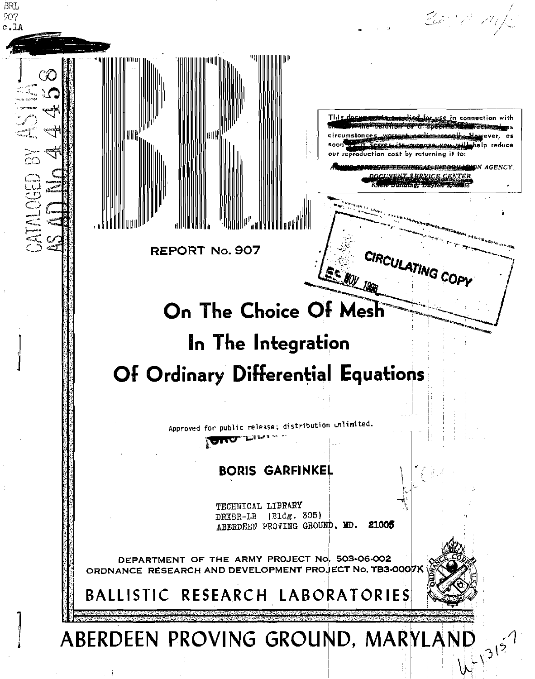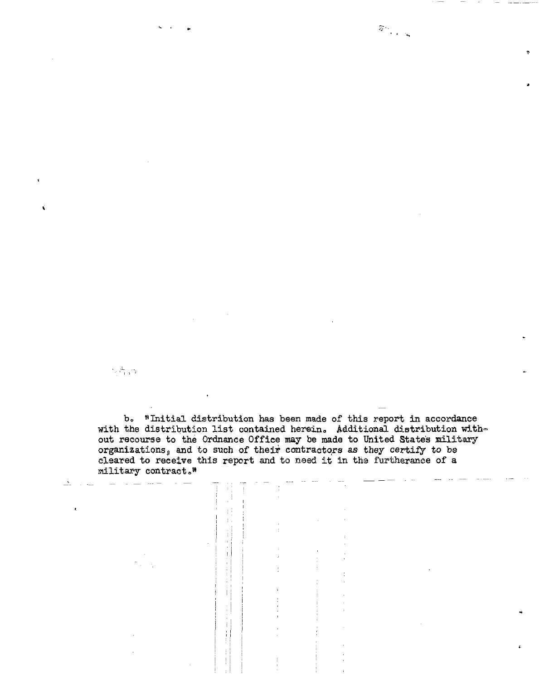$\sim$   $k_{\rm{crit}}$ 

b. \*Initial distribution has been made of this report in accordance with the distribution list contained herein. Additional distribution without recourse to the Ordnance Office may be made to United States military organizations, and to such of their contractors as they certify to be cleared to receive this report and to need it in the furtherance of a military contract.<sup>#</sup>

> Ŧ,  $\bar{\Gamma}$  .

÷

 $\mathbb{P}^1_{\mathbb{P}^1}$  , where  $\mathbb{P}^1_{\mathbb{P}^1}$  is the set of  $\mathbb{P}^1_{\mathbb{P}^1}$  , we are  $\mathbb{P}^1_{\mathbb{P}^1}$  , we are  $\mathbb{P}^1_{\mathbb{P}^1}$ 

 $E_{\rm{eff}}$ 

•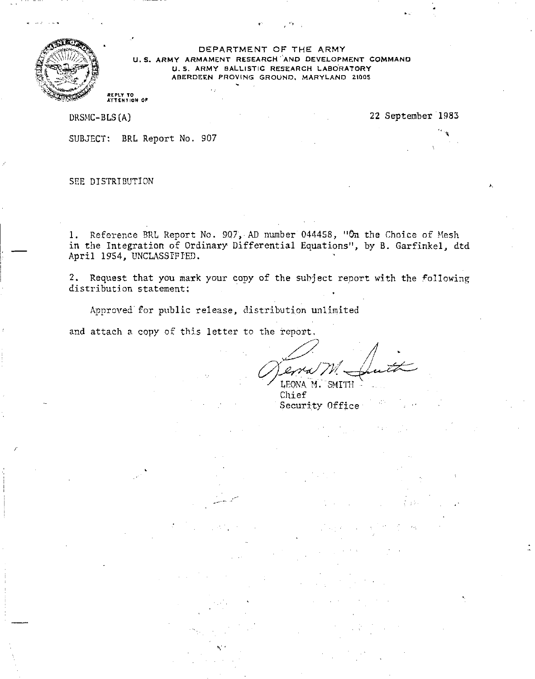

### DEPARTMENT OF THE ARMY U.S. ARMY ARMAMENT RESEARCH AND DEVELOPMENT COMMAND U.S. ARMY BALLISTIC RESEARCH LABORATORY **ABERDEEN PROVING GROUND, MARYLAND 2.100'5**

 $~\cdots$  ,  $~\cdots$ 

REPLY TO<br>Attention of

DRSHC-BLS (A)

22 September 1983

SUBJECT: BRL Report No. 907

## SEE DISTRIBUTION

1. Reference BRL Report No. 907, AD number 044458, "On the Choice of Mesh in the Integration of Ordinary Differential Equations", by B. Garfinkel, dtd April 1954, UNCLASSIFIED.

2. Request that you mark your copy of the subject report with the following distribution statement:

Approved· for public release, distribution unlimited

'\' '

and attach a copy of this letter to the report.

 $f$ <br>report.<br>exa/ $7\%$ LEONA M. SMITH

Chief Security Office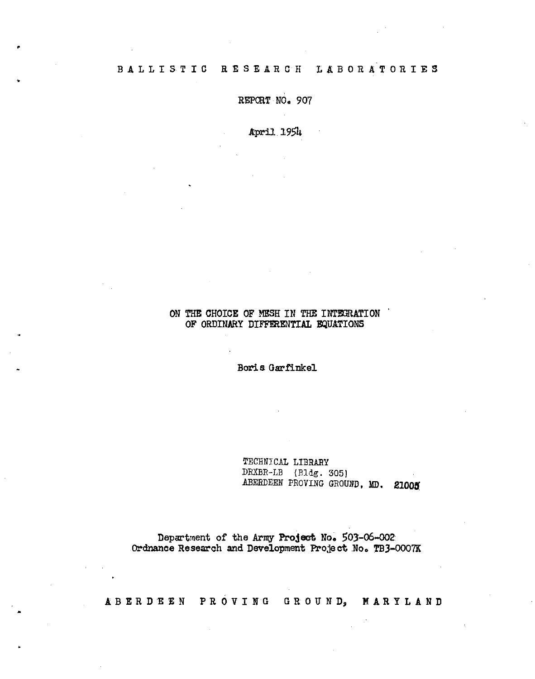# BALLISTIC RESEARCH LABORATORIES

•

•

# REPORT NO. 907

April 1954

## ON THE CHOICE OF MESH IN THE INTEGRATION OF ORDINARY DIFFERENTIAL EQUATIONS

Boris Garfinkel

TECHNICAL LIBRARY DRXBR-LB (Bldg. 305) ABERDEEN PROVING GROUND, MD. 21005

Department of the Army Project No. 503-06-002 Ordnance Research and Development Project No. TB3-0007K

ABERDEEN PROVING GROUND, MARYLAND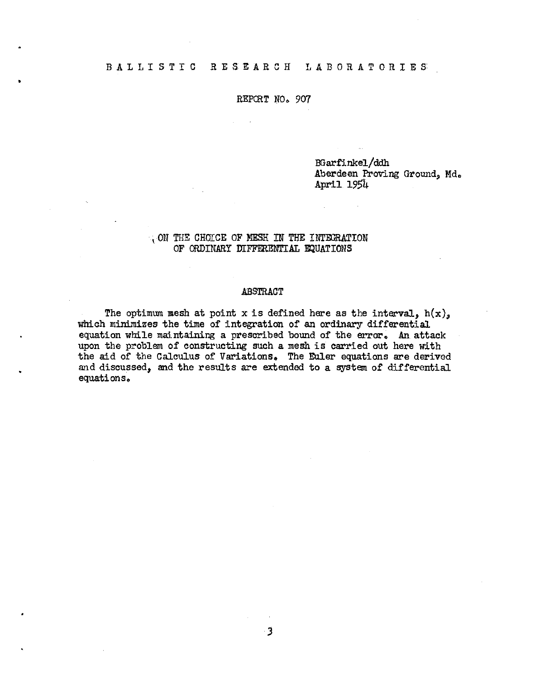# BALLISTIC RESEARCH LABORATORIES

•

## REPCRT NO. *901*

BGarfinkel/ddh Aberdeen Proving Ground, Md. April 1954

# <sup>1</sup>ON THE CHOICE OF MESH IN THE INTIDRATION OF ORDINARY DIFFERENTIAL EQUATIONS

### ABSTRACT

The optimum mesh at point x is defined here as the interval,  $h(x)$ , which minimizes the time of integration of an ordinary differential equation while maintaining a prescribed bound of the error. An attack upon the problem of constructing such a mesh is carried out here with the aid of the Calculus of Variations. The Euler equations are derived and discussed, and the results are extended to a system of differential equations.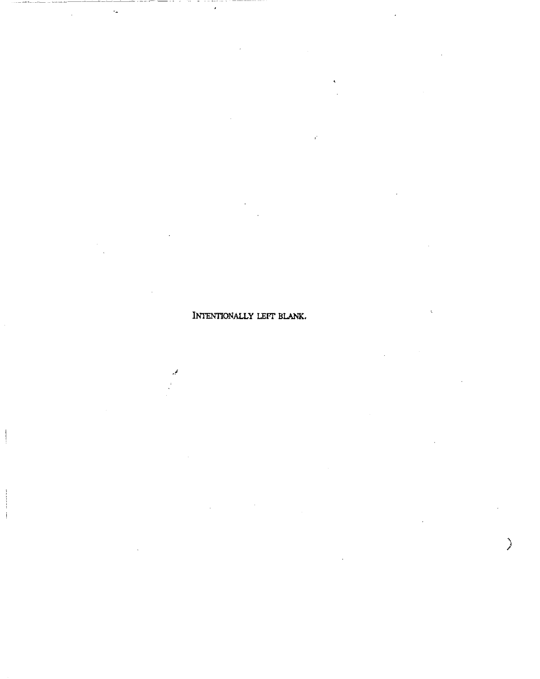## INTENTIONALLY LEFT BLANK.

l,

 $\ddot{\mathbf{v}}_{\mathbf{n}}$ 

 $\ddot{\phantom{a}}$ 

 $\overline{\phantom{a}}$ 

ة.

 $\mathcal{C}$ 

)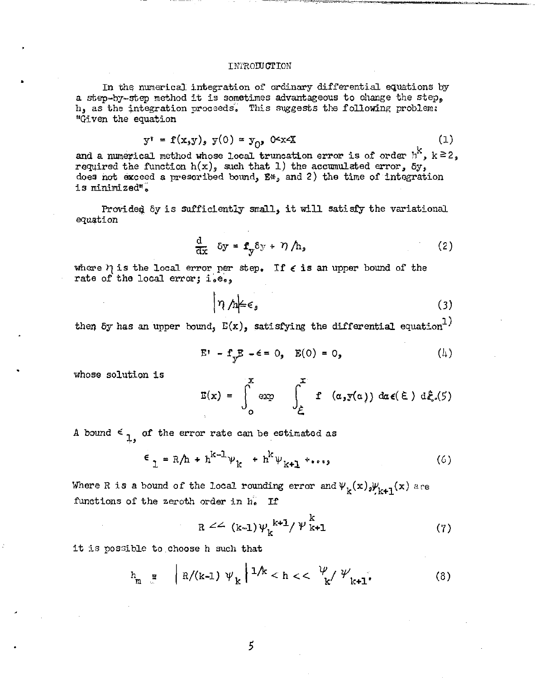### INTRODUCTION

In the numerical integration of ordinary differential equations by a step-by-step method it is sometimes advantageous to change the step, h, as the tntegration proceeds; This suggests the following problem: "Given the equation

$$
y' = f(x_3 y)_3 y(0) = y_0, 0 \le x \le X
$$
 (1)

and a numerical method whose local truncation error is of order  $h^{k}$ ,  $k \geq 2$ , required the function  $h(x)$ , such that 1) the accumulated error,  $\delta y$ , does not exceed a prescribed bound, E\*, and 2) the time of integration is minimized".

Provided by is sufficiently small, it will satisfy the variational equation

$$
\frac{d}{dx} \quad \delta y = f_y \delta y + \eta / h_s \tag{2}
$$

where  $\eta$  is the local error per step. If  $\epsilon$  is an upper bound of the rate of the local error;  $i.e.,$ 

$$
\left|\eta/\mathbf{h}\right| \leq \epsilon_{s} \tag{3}
$$

then  $\delta y$  has an upper bound,  $E(x)$ , satisfying the differential equation<sup>1)</sup>

$$
E' - f_{y}E - \epsilon = 0, \quad E(0) = 0,
$$
 (4)

whose solution is

•

$$
\mathbb{E}(x) = \int_{0}^{x} \exp \int_{\xi}^{x} f(\alpha, y(\alpha)) d\alpha \epsilon(\xi) d\xi_{\alpha}(5)
$$

A bound  $\leq$ <sub>1</sub>, of the error rate can be estimated as

$$
\epsilon_{1} = R/h + h^{k-1}\psi_{k} + h^{k}\psi_{k+1} \cdots \qquad (6)
$$

Where R is a bound of the local rounding error and  $\Psi_k(x)$ ,  $\Psi_{k+1}(x)$  are functions of the zeroth order in h. If

$$
R \leq \left(k-1\right)\psi_k^{k+1} / \psi_{k+1}^k \tag{7}
$$

it is possible to choose h such that

$$
h_{m} = |R/(k-1) \psi_{k}|^{1/k} < h << \psi_{k}/\psi_{k+1}.
$$
 (8)

 $\overline{5}$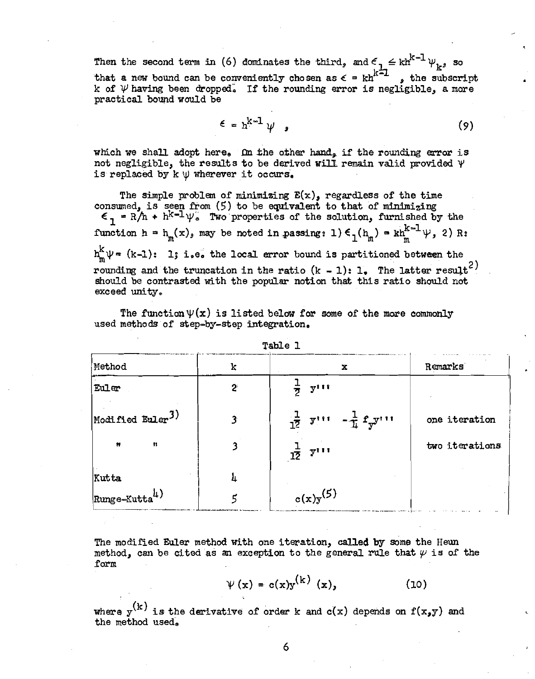Then the second term in (6) dominates the third, and  $\epsilon_{\gamma} \leq k h^{k-1} \psi_{k}$ , so that a new bound can be conveniently chosen as  $\epsilon = kh^{k-1}$ . the subscript k of  $\psi$  having been dropped. If the rounding error is negligible, a more practical bound would be

$$
\epsilon = h^{k-1} \psi \quad , \tag{9}
$$

which we shall adopt here. On the other hand, if the rounding error is not negligible, the results to be derived will remain valid provided  $\Psi$ is replaced by k  $\psi$  wherever it occurs.

The simple problem of minimizing  $E(x)$ , regardless of the time consumed, is seen from (5) to be equivalent to that of minimizing<br> $\epsilon_{1} = R/h + h^{k-1}\psi_{0}$  Two properties of the solution, furnished by the function  $h = h_m(x)$ , may be noted in passing:  $1) \epsilon_1(h_m) = kh_m^{k-1} \psi$ , 2) R:  $h_m^K \psi = (k-1)$ : 1; i.e. the local error bound is partitioned between the rounding and the truncation in the ratio  $(k - 1)$ : 1. The latter result<sup>2</sup>) should be contrasted with the popular notion that this ratio should not exceed unity.

The function  $\Psi(x)$  is listed below for some of the more commonly used methods of step-by-step integration.

| Method                       | k            | x                                                      | Remarks        |
|------------------------------|--------------|--------------------------------------------------------|----------------|
| Euler                        | $\mathbf{2}$ | $y$ <sup>111</sup><br>ま                                |                |
| Modified $Euler3$            | 3            | $\frac{1}{12}$ y''' $-\frac{1}{4}$ f <sub>y</sub> y''' | one iteration  |
| $\mathbf{H}$<br>$\mathbf{H}$ | 3            | $1\frac{1}{2}$ $y$ <sup>111</sup>                      | two iterations |
| Kutta                        | h            |                                                        |                |
| $\vert$ Runge-Kutta $^{4}$ ) |              | $c(x)y^{(5)}$                                          |                |

Table 1

The modified Euler method with one iteration, called by some the Heun method, can be cited as an exception to the general rule that  $\psi$  is of the form

$$
\Psi(x) = c(x)y^{(k)}(x),
$$
 (10)

where  $y^{(k)}$  is the derivative of order k and  $c(x)$  depends on  $f(x,y)$  and the method used.

6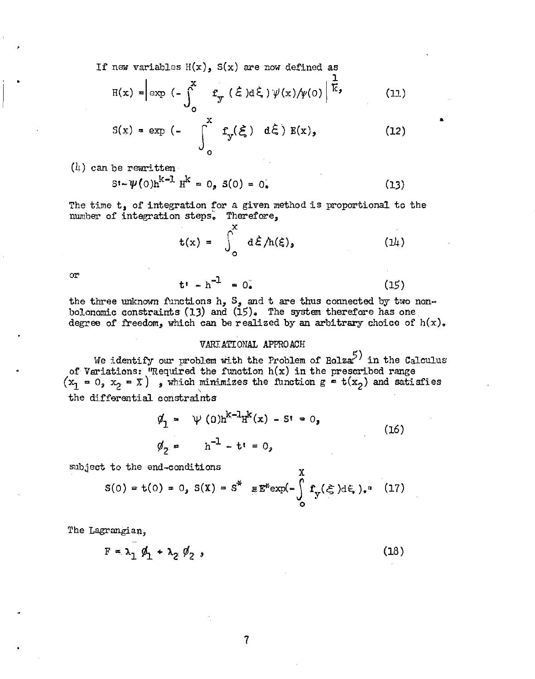If new variables  $H(x)$ ,  $S(x)$  are now defined as

$$
H(x) = \left| \exp \left( - \int_0^x f_y(\xi) d\xi \right) \psi(x) / \psi(0) \right|_x^{\frac{1}{k}}, \tag{11}
$$

$$
S(x) = \exp\left(-\int_{0}^{x} f_{y}(\xi) d\xi\right) E(x), \qquad (12)
$$

 $(4)$  can be rewritten

$$
St - \psi(0)h^{k-1} H^{k} = 0, S(0) = 0.
$$
 (13)

The time  $t_j$  of integration for a given method is proportional to the number of integration steps: Therefore,

$$
t(x) = \int_0^x d\mathcal{E}/h(\mathcal{E}), \qquad (14)
$$

•

•

or 
$$
t! - h^{-1} = 0.
$$
 (15)

the three unknown functions h,  $S$ , and t are thus connected by two nonbo1onomic constraints (13) and (15). The system therefore has one degree of freedom, which can be realized by an arbitrary choice of  $h(x)$ .

### VARIATIONAL APPROACH

We identify our problem with the Problem of Bolza $^{5}$ ) in the Calculus of Variations: "Required the function  $h(x)$  in the prescribed range  $(x_1 = 0, x_2 = \overline{x})$ , which minimizes the function  $g = t(x_2)$  and satisfies the differential constraints

$$
\phi_1 = \psi(0)h^{k-1}H^k(x) - S^* = 0,
$$
\n(16)

subject to the end-conditions

$$
S(0) = t(0) = 0, S(X) = S^* = E^* \exp(-\int_{0}^{X} f_y(\xi) d\xi, \quad (17)
$$

The Lagrangian,

$$
F = \lambda_1 \phi_1 + \lambda_2 \phi_2 , \qquad (13)
$$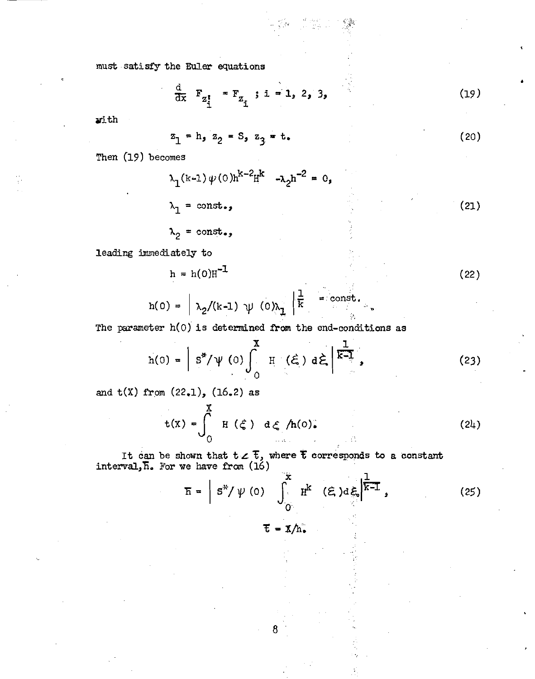must satisfy the Euler equations

$$
\frac{d}{dx} F_{Z_{\underline{i}}^{\dagger}} = F_{Z_{\underline{i}}}; i = 1, 2, 3,
$$
 (19)

 $\mathbf{m}$ th

$$
z_1 = h_3 \ z_2 = S_3 \ z_3 = t. \tag{20}
$$

Then (19) becomes

$$
\lambda_1(k-1)\psi(0)h^{k-2}h^k - \lambda_2h^{-2} = 0,
$$
  
\n
$$
\lambda_1 = \text{const.},
$$
  
\n
$$
\lambda_2 = \text{const.},
$$
  
\n(21)

leading immediately to

$$
h = h(0)H^{-1}
$$
 (22)

$$
h(0) = \left| \lambda_2 / (k-1) \psi(0) \lambda_1 \right|^{-\frac{1}{k}} = const.
$$

The parameter  $h(0)$  is determined from the end-conditions as

$$
h(0) = \left| S^* / \psi(0) \int_0^{\Sigma} H(\xi) d\xi \right| \frac{1}{k-1}, \qquad (23)
$$

and  $t(X)$  from  $(22.1)$ ,  $(16.2)$  as

$$
t(x) = \int_0^x H(\xi) d\xi /h(0).
$$
 (24)

It can be shown that  $t \times \overline{t}$ , where  $\overline{t}$  corresponds to a constant interval,  $\overline{h}$ . For we have from (16)

$$
\overline{\mathbf{h}} = \left| \mathbf{S}^* / \psi \left( 0 \right) \right|_0^{\mathbf{X}} \mathbf{H}^{\mathbf{k}} \quad (\hat{\boldsymbol{\epsilon}}) \, \mathrm{d} \, \hat{\boldsymbol{\epsilon}} \right|_{\overline{\mathbf{k}} = \mathbf{I}}, \tag{25}
$$

8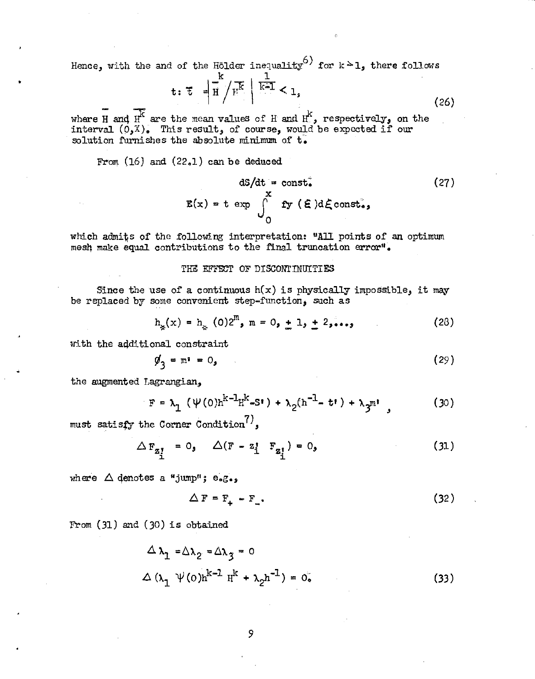Hence, with the and of the Hölder inequality<sup>6)</sup> for  $k > 1$ , there follows

$$
t: \tau = \left| \frac{1}{H} \right| \sqrt{H^k} \left| \frac{1}{K - 1} < 1, \right| \tag{26}
$$

where H and  $\overline{H}$  are the mean values of H and  $H^k$ , respectively, on the interval  $(0, x)$ . This result, of course, would be expected if our solution furnishes the absolute minimum of t.

From  $(16)$  and  $(22.1)$  can be deduced

$$
dS/dt = const.
$$
\n
$$
E(x) = t exp \int_{0}^{x} fy (E) dE const.
$$
\n(27)

which admits of the following interpretation: "All points of an optimum mesh make equal contributions to the final truncation error".

## THE EFFECT OF DISCONTINUITIES

Since the use of a continuous  $h(x)$  is physically impossible, it may be replaced by some convenient step-function, such as

$$
h_{x}(x) = h_{x}(0)2^{m}, \quad m = 0, \pm 1, \pm 2, \ldots
$$
 (28)

with the additional constraint

$$
\mathcal{G}_2 = m^2 = 0, \tag{29}
$$

the augmented Lagrangian,

$$
F = \lambda_1 \left( \Psi(0) h^{k-1} h^k - S^t \right) + \lambda_2 (h^{-1} - t^t) + \lambda_3 m^t \quad , \tag{30}
$$

must satisfy the Corner Condition<sup>()</sup>,

$$
\triangle F_{Z_{\underline{i}}^{\gamma}} = 0, \quad \triangle (F - z_{\underline{i}}^{\gamma} F_{Z_{\underline{i}}^{\gamma}}) = 0,
$$
 (31)

where  $\triangle$  denotes a "jump";  $e.g.,$ 

$$
\Delta F = F_{\perp} - F_{\perp}.
$$
 (32)

From  $(31)$  and  $(30)$  is obtained

$$
\Delta \lambda_1 = \Delta \lambda_2 = \Delta \lambda_3 = 0
$$
  
 
$$
\Delta (\lambda_1 \psi(\omega) h^{k-1} H^k + \lambda_2 h^{-1}) = 0.
$$
 (33)

9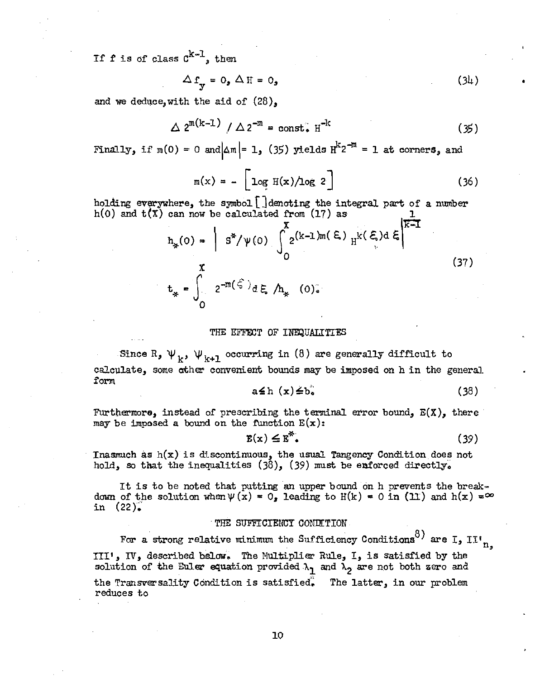If  $f$  is of class  $c^{k-l}$ , then

$$
\Delta f_{\mathbf{v}} = 0_{\mathbf{z}} \Delta H = 0_{\mathbf{z}} \tag{34}
$$

and we deduce, with the aid of (28).

$$
\Delta 2^{m(k-1)} / \Delta 2^{-m} = \text{const. } H^{-k}
$$
 (35)

Finally, if  $m(0) = 0$  and  $|\Delta m| = 1$ , (35) yields  $H^{k_2 - m} = 1$  at corners, and

$$
m(x) = -\left[\log H(x)/\log 2\right]
$$
 (36)

holding everywhere, the symbol  $\lceil$  denoting the integral part of a number  $h(0)$  and  $t(X)$  can now be calculated from (17) as Т.

$$
h_{*}(0) = \int_{0}^{x} s^{*}/\psi(0) \int_{0}^{x} z^{(k-1)m(\xi)} H^{k(\xi)d\xi} \xi
$$
  

$$
t_{*} = \int_{0}^{x} z^{-m(\xi)} d\xi \, h_{*}(0).
$$
 (37)

#### THE EFFECT OF INEQUALITIES

Since R,  $\psi_{k}$ ,  $\psi_{k+1}$  occurring in (8) are generally difficult to calculate, some other convenient bounds may be imposed on h in the general form

$$
a \leq h(x) \leq b_0 \tag{38}
$$

Furthermore, instead of prescribing the terminal error bound,  $E(X)$ , there may be imposed a bound on the function  $E(x)$ :

$$
E(x) \le E^*.
$$
 (39)

Inasmuch as  $h(x)$  is discontinuous, the usual Tangency Condition does not hold, so that the inequalities  $(38)$ ,  $(39)$  must be enforced directly.

It is to be noted that putting an upper bound on h prevents the breakdown of the solution when  $\psi(x) = 0$ , leading to  $H(k) = 0$  in (11) and  $h(x) = \infty$ in  $(22)$ .

#### THE SUFFICIENCY CONDITION

For a strong relative minimum the Sufficiency Conditions<sup>8)</sup> are I, II'<sub>n</sub> III', IV, described below. The Multiplier Rule, I, is satisfied by the solution of the Euler equation provided  $\lambda_1$  and  $\lambda_2$  are not both zero and the Transversality Condition is satisfied. The latter, in our problem reduces to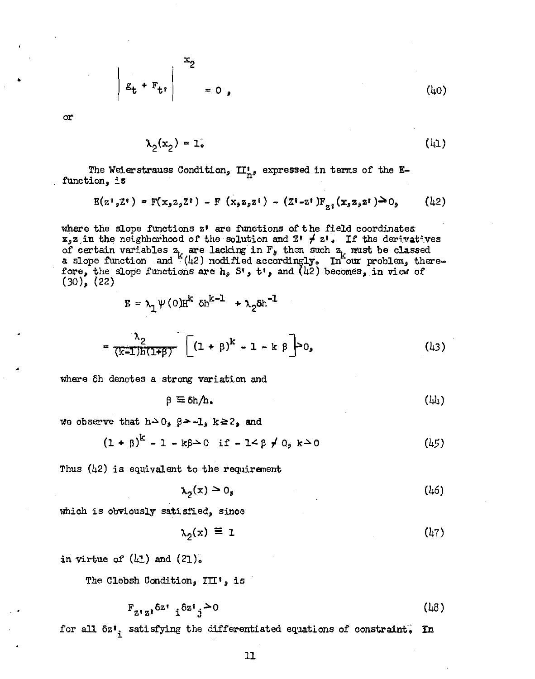$$
\left| \varepsilon_{t} + \varepsilon_{t}, \right|^{x_{2}} = 0,
$$
 (40)

œ

•

•

$$
\lambda_2(x_2) = 1. \tag{11}
$$

The Weierstrauss Condition,  $II_{n,s}$  expressed in terms of the Efunction, is

$$
E(z^{\prime}, z^{\prime}) = F(x, z, z^{\prime}) - F(x, z, z^{\prime}) - (z^{\prime} - z^{\prime})F_{z^{\prime}}(x, z, z^{\prime}) \rightarrow 0,
$$
 (42)

where the slope functions  $z<sup>i</sup>$  are functions of the field coordinates  $x_3z_1$  in the neighborhood of the solution and  $z_1 \neq z_1$ . If the derivatives of certain variables  $z_k$  are lacking in  $F_s$  then such  $z_k$  must be classed a slope function and  $^{k}(42)$  modified accordingly. In our problem, there-<br>fore, the slope functions are h, S', t', and (42) becomes, in view of  $(30)$ ,  $(22)$ 

$$
E = \lambda_1 \psi(0)h^{k} \delta h^{k-1} + \lambda_2 \delta h^{-1}
$$
  
=  $\frac{\lambda_2}{(k-1)h(1+\beta)} [ (1+\beta)^{k} - 1 - k \beta ] > 0,$  (43)

where 6h denotes a strong variation and

$$
\beta \equiv \delta h / h. \tag{14}
$$

we observe that  $h \geq 0$ ,  $\beta \geq -1$ ,  $k \geq 2$ , and

$$
(1 + \beta)^k - 1 - k\beta \geq 0 \quad \text{if} \quad -1 < \beta \neq 0, \ k \geq 0 \tag{45}
$$

Thus (42) is equivalent to the requirement

$$
\lambda_2(x) \geq 0, \tag{46}
$$

which is obviously satisfied, since

$$
\lambda_2(x) \equiv 1 \tag{47}
$$

in virtue of  $(l_1)$  and  $(2l)$ .

The Clebsh Condition,  $\text{III}$ ', is

$$
F_{z^{\dagger}z^{\dagger}}\delta z^{\dagger}j^{\geq 0} \tag{18}
$$

for all  $6z_i$ , satisfying the differentiated equations of constraint. In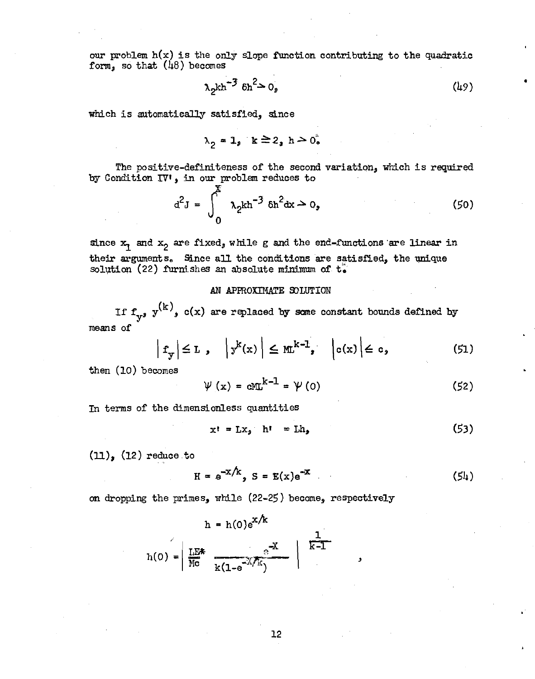our problem  $h(x)$  is the only slope function contributing to the quadratic form, so that  $(48)$  becomes

$$
\lambda_2 k h^{-3} \delta h^2 > 0,
$$
 (49)

•

which is automatically satisfied, since

$$
\lambda_2 = 1, \quad k \ge 2, \quad h \ge 0.
$$

The positive-definiteness of the second variation, which is required

by Condition IV', in our problem reduces to  
\n
$$
d^{2}J = \int_{0}^{x} \lambda_{2}kh^{-3} \delta h^{2}dx \rightarrow 0,
$$
\n(50)

since  $x_1$  and  $x_2$  are fixed, while g and the end-functions are linear in their arguments. Since all the conditions are satisfied, the unique solution (22) furnishes an absolute minimum of  $t_{\bullet}$ .

### AN APPROXIMATE SOLUTION

If  $f_{\mathbf{v}^s}$   $\mathbf{y}^{(k)}$ ,  $c(x)$  are replaced by some constant bounds defined by means of

$$
\left| f_{y} \right| \leq L , \quad \left| y^{k}(x) \right| \leq M^{k-1}, \quad \left| c(x) \right| \leq c, \tag{51}
$$

then (10) becomes

$$
\psi(x) = c \mathbb{M}^{k-1} = \psi(0) \tag{52}
$$

In terms of the dimensionless quantities

$$
x^{\dagger} = Lx_{\beta} \quad h^{\dagger} = Lh_{\beta} \tag{53}
$$

(11), (12) reduce to

$$
H = e^{-X/k}, S = E(x)e^{-X}
$$
 (54)

'

on dropping the primes, while  $(22-25)$  become, respectively

$$
h = h(0)e^{X/k}
$$
  

$$
h(0) = \left| \frac{LE*}{Mc} \frac{e^{-X}}{k(1-e^{-X/k})} \right| \frac{1}{k-1}
$$

12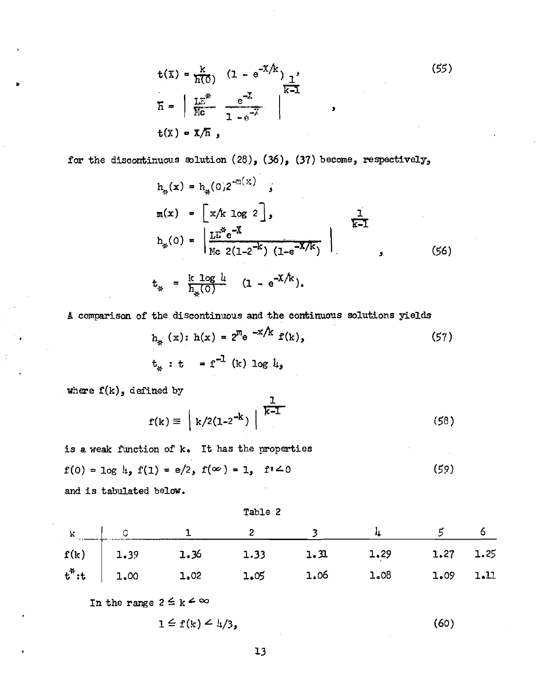$$
t(\bar{x}) = \frac{k}{h(0)} (1 - e^{-\bar{x}/k}) \frac{1}{1^{k}} \qquad (55)
$$
  

$$
\bar{h} = \left| \frac{LE^{*}}{hc} - \frac{e^{-\bar{x}}}{1 - e^{-\bar{x}}} \right| \qquad ,
$$
  

$$
t(\bar{x}) = \bar{x}/\bar{h},
$$
 (55)

for the discontinuous solution  $(28)$ ,  $(36)$ ,  $(37)$  become, respectively,

$$
h_{*}(x) = h_{*}(0)2^{-m(x)},
$$
  
\n
$$
m(x) = \left[x/k \log 2\right],
$$
  
\n
$$
h_{*}(0) = \left|\frac{LE^{*}e^{-X}}{Mc \, 2(1-2^{-k}) (1-e^{-X/k})}\right|
$$
  
\n
$$
t_{*} = \frac{k \log l}{h_{*}(0)} (1 - e^{-X/k}).
$$
\n(56)

A comparison of the discontinuous and the continuous solutions yields

$$
h_{*}(x): h(x) = 2^{m}e^{-x/k} f(k),
$$
\n
$$
t_{*}: t = f^{-1}(k) \log l_{*}
$$
\n(57)

where  $f(k)$ , defined by

•

$$
\mathbf{r}(\mathbf{k}) \equiv \left| \mathbf{k}/2(\mathbf{1} - 2^{-k}) \right| \xrightarrow{\frac{1}{k-1}} \tag{58}
$$

is a weak function of k. It has the properties  $f(0) = \log l_1$ ,  $f(1) = e/2$ ,  $f(\infty) = 1$ ,  $f' \neq 0$ and is tabulated below. (59)

Table 2

|  | $\begin{array}{ c c c c c }\n\hline\n\textbf{k} & \textbf{0} & \textbf{1} & \textbf{2}\n\end{array}$ |  |  |  |
|--|------------------------------------------------------------------------------------------------------|--|--|--|
|  | $f(k)$ 1.39 1.36 1.33 1.31 1.29 1.27 1.25                                                            |  |  |  |
|  | $t^*$ :t 1.00 1.02 1.05 1.06 1.08 1.09 1.11                                                          |  |  |  |

In the range  $2 \leq k < \infty$ 

$$
1 \le f(k) \le \frac{1}{4/3},\tag{60}
$$

 $\mathcal{F}$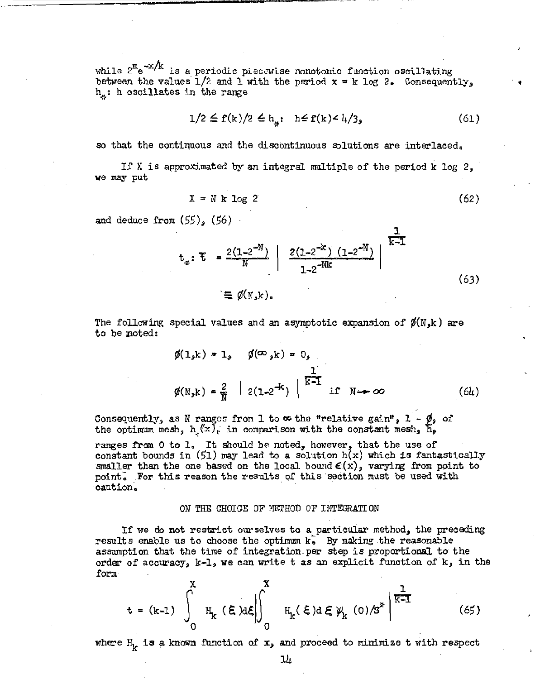while  $2^{\overline{m}}e^{-x/K}$  is a periodic piecewise monotonic function oscillating between the values 1/2 and 1 with the period  $x = k \log 2$ . Consequently, h.: h oscillates in the range

$$
1/2 \le f(k)/2 \le h_{\mu}; \quad h \le f(k) < \frac{1}{3}, \tag{61}
$$

so that the continuous and the discontinuous solutions are interlaced.

If X is approximated by an integral multiple of the period k log 2. we may put

$$
X = N k \log 2 \tag{62}
$$

٦.

and deduce from  $(55)$ ,  $(56)$ 

$$
t_{*}: \mathbf{t} = \frac{2(1 - 2^{-N})}{N} \left| \frac{2(1 - 2^{-k}) (1 - 2^{-N})}{1 - 2^{-Nk}} \right|^{ \frac{1}{k-1}}
$$
  
 
$$
\equiv \emptyset(\mathbf{N}, \mathbf{k}), \qquad (63)
$$

The following special values and an asymptotic expansion of  $\phi(N_{sk})$  are to be noted:

$$
\phi(1_{\rho}k) = 1_{\rho} \qquad \phi(\infty_{\rho}k) = 0_{\rho}
$$
  

$$
\phi(N_{\rho}k) = \frac{2}{N} \left| 2(1-2^{-k}) \right| \qquad \text{if} \quad N \to \infty
$$
 (6h)

Consequently, as N ranges from 1 to  $\infty$  the "relative gain", 1 -  $\phi$ , of the optimum mesh,  $h(x)$ , in comparison with the constant mesh,  $h_s$ 

ranges from 0 to 1. It should be noted, however, that the use of constant bounds in  $(51)$  may lead to a solution  $h(x)$  which is fantastically smaller than the one based on the local bound  $\epsilon(x)$ , varying from point to point. For this reason the results of this section must be used with caution.

#### ON THE CHOICE OF METHOD OF INTEGRATION

If we do not restrict ourselves to a particular method, the preceding results enable us to choose the optimum k. By making the reasonable assumption that the time of integration per step is proportional to the order of accuracy,  $k=1$ , we can write t as an explicit function of  $k_0$  in the form

$$
t = (k-1) \int_{0}^{X} H_{k} (\epsilon) d\xi \Big|_{0}^{X} H_{k}(\epsilon) d\xi \psi_{k} (0) / S^{*} \Big|_{\overline{K-T}}
$$
 (65)

where  $H_L$  is a known function of  $x_9$  and proceed to minimize t with respect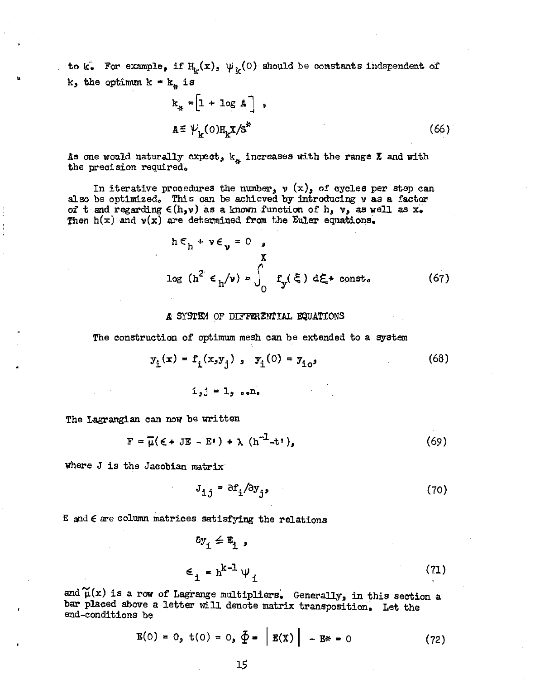to k<sup>\*</sup> For example, if  $H_k(x)$ ,  $\psi_k(0)$  should be constants independent of k, the optimum  $k = k_{*}$  is

$$
k_{*} = [1 + \log A],
$$
  

$$
A \equiv \psi_{k}(0) H_{k} X / S^{*}
$$
 (66)

As one would naturally expect,  $k_{x}$  increases with the range X and with the precision required.

In iterative procedures the number,  $\nu(x)$ , of cycles per step can also be optimized. This can be achieved by introducing v as a factor of t and regarding  $\epsilon$ (h,v) as a known function of h, v, as well as x. Then  $h(x)$  and  $v(x)$  are determined from the Euler equations.

$$
h \in_{h} + v \in_{v} = 0 \quad \text{s}
$$
  
\n
$$
\log (h^{2} \in_{h}/v) = \int_{0}^{h} f_{y}(\xi) d\xi + const.
$$
 (67)

#### A SYSTEM OF DIFFERENTIAL EQUATIONS

The construction of optimum mesh can be extended to a system

$$
y_i(x) = f_i(x, y_j)
$$
,  $y_i(0) = y_{i0}$ , (68)

The Lagrangian can now be written

$$
F = \overline{\mu} (\epsilon + JE - E^*) + \lambda (h^{-1} - t^*)
$$
\n(69)

where J is the Jacobian matrix

$$
J_{ij} = \partial f_i / \partial y_j,
$$
 (70)

 $E$  and  $\epsilon$  are column matrices satisfying the relations

$$
\delta y_{i} \leq E_{i},
$$
\n
$$
\epsilon_{i} = h^{k-1} \psi_{i}
$$
\n(71)

and  $\widetilde{\mu}(x)$  is a row of Lagrange multipliers. Generally, in this section a bar placed above a letter will denote matrix transposition. Let the end-conditions be

$$
\mathbb{E}(0) = 0, \mathbf{t}(0) = 0, \quad \Phi = \left| \mathbf{E}(\mathbf{X}) \right| - \mathbf{E} = 0 \tag{72}
$$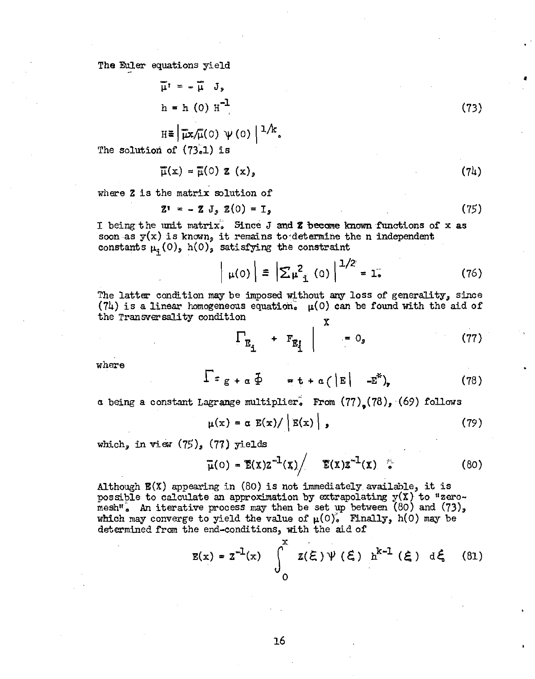The Euler equations yield

$$
\overline{\mu}^{\dagger} = -\overline{\mu} J_s
$$
  
h = h (0) H<sup>-1</sup> (73)

$$
H^{\pm}\left|\overline{\mu}x/\overline{\mu}(0)\right.\Psi\left(0\right)\left.\right|^{\,1/k}.
$$

The solution of  $(73-1)$  is

$$
\overline{\mu}(x) = \overline{\mu}(0) Z(x) \tag{74}
$$

where Z is the matrix solution of

$$
\mathbf{Z}^{\dagger} = - \mathbf{Z} \mathbf{J}_{s} \mathbf{Z}(0) = \mathbf{I}_{s}
$$
 (75)

I being the unit matrix. Since J and Z become known functions of x as soon as  $y(x)$  is known, it remains to determine the n independent constants  $\mu_{\rm t}(0)$ , h(0), satisfying the constraint

$$
\left| \mu(0) \right| = \left| \sum_{\mu} \mu_{\hat{1}}^2(0) \right|^{1/2} = 1. \tag{76}
$$

The latter condition may be imposed without any loss of generality, since (74) is a linear homogeneous equation.  $\mu(0)$  can be found with the aid of the Transversality condition  $\mathbf v$ 

$$
\Gamma_{\mathbb{E}_{\hat{\mathbf{1}}}} + \mathbb{E}_{\mathbb{E}_{\hat{\mathbf{1}}}} \Big|_{\mathbb{E}_{\hat{\mathbf{1}}}} = 0_{s} \tag{77}
$$

where

$$
\Gamma = g + a \Phi \qquad = t + a \left( |E| - E^* \right), \tag{78}
$$

a being a constant Lagrange multiplier. From  $(77)$  (78), (69) follows

$$
\mu(x) = \alpha E(x) / |E(x)| \qquad (79)
$$

which, in view  $(75)$ ,  $(77)$  yields

$$
\overline{\mu}(0) = \mathbb{E}(X)Z^{-1}(X) / \mathbb{E}(X)Z^{-1}(X) \quad \stackrel{\text{def}}{=} \tag{80}
$$

Although E(X) appearing in (80) is not immediately available, it is possible to calculate an approximation by extrapolating  $y(X)$  to "zeromesh<sup>"</sup>. An iterative process may then be set up between  $(80)$  and  $(73)$ , which may converge to yield the value of  $\mu(0)$ . Finally, h(0) may be

determined from the end-conditions, with the add of  
\n
$$
E(x) = z^{-1}(x) \int_{0}^{x} z(\xi) \psi(\xi) h^{k-1}(\xi) d\xi
$$
 (81)

•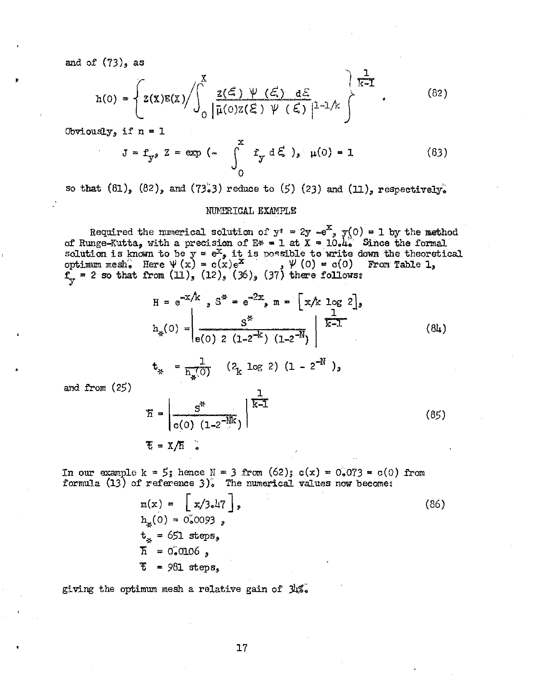and of  $(73)_3$  as

$$
h(0) = \left\{ Z(X)E(X) / \int_0^X \frac{z(\xi) \psi(\xi)}{|\tilde{\mu}(0)Z(\xi) \psi(\xi)|^{2-1/k}} \right\}^{\frac{1}{k-1}}.
$$
 (82)

Obviously, if  $n = 1$ 

$$
J = f_{y^3} Z = \exp(-\int_0^x f_y d\xi), \mu(0) = 1
$$
 (83)

so that  $(81)$ ,  $(82)$ , and  $(73.3)$  reduce to  $(5)$   $(23)$  and  $(11)$ , respectively.

#### NUMERICAL EXAMPLE

Required the numerical solution of  $y' = 2y -e^X$ ,  $y(0) = 1$  by the method<br>of Runge-Kutta, with a precision of E\* = 1 at  $X = 10.4t$ . Since the formal<br>solution is known to be  $y = e^X$ , it is possible to write down the theoret

$$
H = e^{-x/k} , S^* = e^{-2x}, m = [x/k \log 2],
$$
  
\n
$$
h_x(0) = \left| \frac{S^*}{e(0) \ 2 \ (1 - 2^{-k}) \ (1 - 2^{-N})} \right| \xrightarrow{k-1} (8h)
$$
  
\n
$$
t_x = \frac{1}{h_x(0)} \ (2_k \log 2) \ (1 - 2^{-N}),
$$

and from  $(25)$ 

$$
\overline{n} = \left| \frac{s^*}{c(0) (1 - 2^{-\overline{M}\epsilon})} \right|^{\frac{1}{\overline{k-1}}} \tag{85}
$$
\n
$$
\overline{\epsilon} = x/\overline{n} \quad ,
$$

In our example  $k = 5$ ; hence  $N = 3$  from (62);  $c(x) = 0.073 = c(0)$  from formula (13) of reference 3). The numerical values now become:

$$
m(x) = \begin{bmatrix} x/3.47 \end{bmatrix},
$$
  
\n
$$
h_x(0) = 0.0093
$$
  
\n
$$
t_x = 651 \text{ steps}
$$
  
\n
$$
\overline{h} = 0.0106
$$
  
\n
$$
\overline{t} = 981 \text{ steps}
$$
 (86)

giving the optimum mesh a relative gain of  $34\%$ .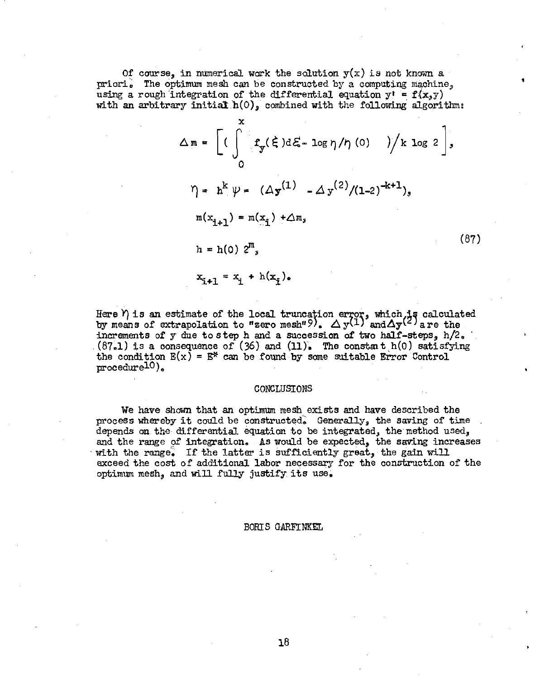Of course, in numerical work the solution  $y(x)$  is not known a  $prior_i$ . The optimum mesh can be constructed by a computing machine, using a rough integration of the differential equation  $y' = f(x,y)$ with an arbitrary initial  $h(0)$ , combined with the following algorithm:

$$
\Delta m = \left[ (\int_{0}^{x} f_{y}(\xi) d\xi - \log \eta / \eta (0)) \right] / k \log 2 \Big],
$$
  
\n
$$
\eta = h^{k} \psi = (\Delta y^{(1)} - \Delta y^{(2)} / (1 - 2)^{-k+1}),
$$
  
\n
$$
m(x_{i+1}) = m(x_{i}) + \Delta m_{s}
$$
  
\n
$$
h = h(0) 2^{m},
$$
  
\n
$$
x_{i+1} = x_{i} + h(x_{i}).
$$
  
\n(87)

•

Here  $\eta$  is an estimate of the local truncation error, which is calculated by means of extrapolation to "zero mesh"  $\frac{1}{2}$ .  $\Delta y^{(1)}$  and  $\Delta y^{(2)}$  are the increments of y due to step h and a succession of two half-steps, h/2.  $(87.1)$  is a consequence of (36) and (11). The constant h(0) satisfying the condition  $E(x) = E^*$  can be found by some suitable Error Control  $m$ ocedure $10$ ).

#### CONCLUSIONS

We have shown that an optimum mesh exists and have described the process whereby it could be constructed. Generally, the saving of time. depends on the differential equation to be integrated, the method used, and the range of integration. As would be expected, the saving increases with the range. If the latter is sufficiently great, the gain will exceed the cost of additional labor necessary for the construction of the optimum mesh, and will fully justify its use.

### BORIS GARFINKEL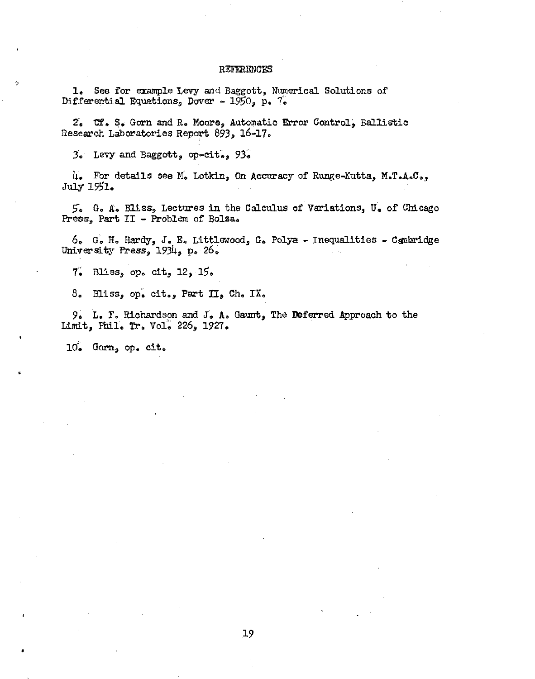## **REFERENCES**

1. See for example Levy and Baggott, Numerical Solutions of Differential Equations, Dover - 1950, p. 7.

2'. 'Cf. s. Gorn and R. Moore, Automatic Error Control; Ballistic Research Laboratories Report *893,* 16-17.

 $3.$  Levy and Baggott, op-cit.,  $93.$ 

4. For details see M. Lotkin, On Accuracy of Runge-Kutta, M.T.A.C., July 1951.

5., G. A. Bliss, Lectures in the Calculus of Variations, u. of Chicago Press, Part II - Problem of Bolza.

6. G. H. Hardy, J. E. Littlewood, G. Polya - Inequalities - Cambridge University Press, 1934, p. 26.

 $7.$  Bliss, op. cit, 12, 15.

8. Bliss, op. cit., Part II, Ch. IX.

9~ L. F. Richardson and J. A. Gaunt.; The Deferred Approach to the Limit, Phil. Tr. Vol: 226, 1927.

10. Gorn, op. cit.

')

•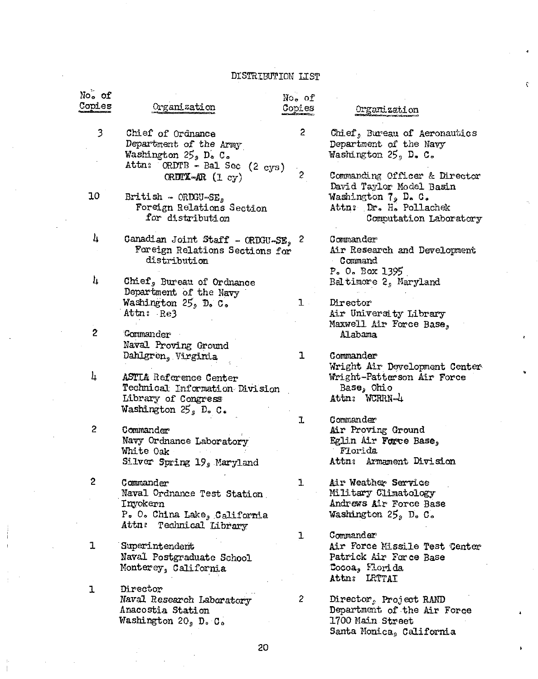# DISTRIBUTION LIST

 $\mathcal{R}^{\mathbb{C}}$ 

 $\pmb{\bigr\}}$ 

| No. of<br>Copies |                                                                                                                 | No. of         |                                                                                                        |
|------------------|-----------------------------------------------------------------------------------------------------------------|----------------|--------------------------------------------------------------------------------------------------------|
|                  | Organization                                                                                                    | Copies         | Organization                                                                                           |
| 3                | Chief of Ordnance<br>Department of the Army<br>Washington 25, D. C.                                             | $\mathbf{2}$   | Chief, Bureau of Aeronautics<br>Department of the Navy<br>Washington $259$ D. C.                       |
|                  | Attn: ORDTB - Bal Sec (2 cys)<br>ORDTY-AR $(1 cy)$                                                              | $\overline{2}$ | Commanding Officer & Director<br>David Taylor Model Basin                                              |
| 10               | British - ORDGU-SE,<br>Foreign Relations Section<br>for distribution                                            |                | Washington $7s$ D. C.<br>Attn: Dr. H. Pollachek<br>Computation Laboratory                              |
| 4                | Canadian Joint Staff = $ORDU-SE9$ 2<br>Foreign Relations Sections for<br>distribution                           |                | Commander<br>Air Research and Development<br>Command<br>P. 0. Box 1395                                 |
| 4                | Chief, Bureau of Ordnance<br>Department of the Navy                                                             |                | Baltimore 2, Maryland                                                                                  |
|                  | Washington 25, D. C.<br>Attn: Re3                                                                               | $\mathbf 1$    | Director<br>Air University Library<br>Maxwell Air Force Base,                                          |
| $\overline{2}$   | Commander<br>Naval Proving Ground<br>Dahlgren, Virginia                                                         | 1              | Alabama<br>Commander                                                                                   |
| 4                | ASTIA Reference Center<br>Technical Information Division<br>Library of Congress<br>Washington 25, D. C.         |                | Wright Air Development Center<br>Wright-Patterson Air Force<br>Base, Ohio<br>Attn: WCRRN-4             |
| 2                | Commander<br>Navy Ordnance Laboratory<br>White Oak<br>Silver Spring 19, Maryland                                | ı.             | Commander<br>Air Proving Cround<br>Eglin Air Force Base,<br>Florida<br>Attn: Armament Division         |
| 2                | Commander<br>Naval Ordnance Test Station<br>Invokern<br>P. O. China Lake, California<br>Attn: Technical Library | ı              | <b>Air Weather Service</b><br>Military Climatology<br>Andrews Air Force Base<br>Washington 25, D. C.   |
| 1                | Superintendent<br>Naval Postgraduate School<br>Monterey, California                                             | ı              | Commander<br>Air Force Missile Test Center<br>Patrick Air Force Base<br>Cocoa, Florida<br>Attn: IRTTAI |
| ı                | Director<br>Naval Research Laboratory<br>Anacostia Station<br>Washington 20, D. C.                              | 2              | Director, Project RAND<br>Department of the Air Force<br>1700 Main Street<br>Santa Monica, California  |

 $\mathcal{G}$  $\begin{array}{c} \hline \end{array}$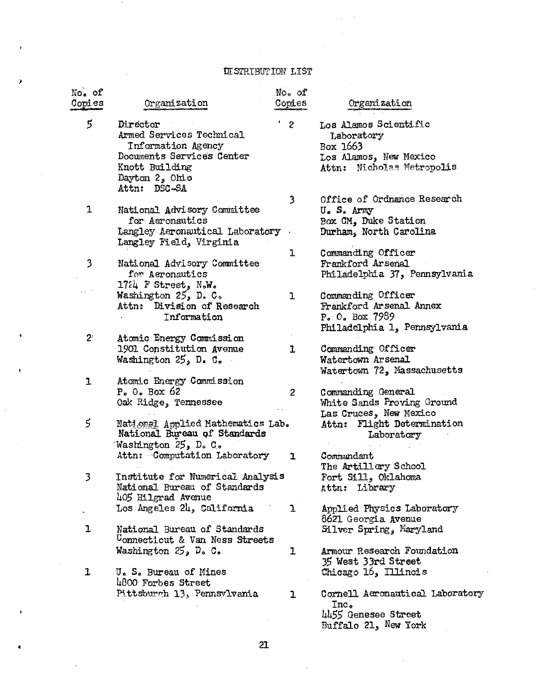# **DISTRIBUTION LIST**

 $\sim$  $\bar{z}$ ÷.

 $\sim$   $\sim$ 

 $\ddot{\phantom{a}}$ 

 $\mathcal{A}$ 

 $\lambda$ 

 $\frac{1}{2}$ 

 $\overline{\phantom{a}}$ 

 $\bar{\gamma}$ 

| No. of<br>Copies | Organization                                                                           | No. of<br>Copies | Organization                                                                              |
|------------------|----------------------------------------------------------------------------------------|------------------|-------------------------------------------------------------------------------------------|
| 5                | Director<br>Armed Services Technical<br>Information Agency                             | $\overline{2}$   | Los Alamos Scientific<br>Laboratory<br>Box 1663                                           |
|                  | Documents Services Center<br>Knott Building<br>Dayton 2, Ohio<br>Attn: DSC-SA          |                  | Los Alamos, New Mexico<br>Attn: Micholas Metropolis                                       |
| 1                | National Advisory Committee                                                            | 3                | Office of Ordnance Research<br>U.S. Army                                                  |
|                  | for Aeronautics<br>Langley Aeronautical Laboratory                                     |                  | Box CM, Duke Station<br>Durham, North Carolina                                            |
|                  | Langley Field, Virginia                                                                |                  |                                                                                           |
| 3                |                                                                                        | ı                | Commanding Officer<br>Frankford Arsenal                                                   |
|                  | National Advisory Committee<br>for Aeronautics<br>1724 F Street, N.W.                  |                  | Philadelphia 37, Pennsylvania                                                             |
|                  | Washington 25, D. C.                                                                   | ı                | Commanding Officer                                                                        |
|                  | Attn: Division of Research<br>Information                                              |                  | Frankford Arsenal Annex<br>$P_0$ , $0_0$ , $Box$ , $7989$<br>Philadelphia 1, Pennsylvania |
| $2^{\circ}$      | Atomic Energy Commission                                                               |                  |                                                                                           |
|                  | 1901 Constitution Avenue<br>Washington $259$ D. C.                                     | 1                | Commanding Officer<br>Watertown Arsenal<br>Watertown 72, Massachusetts                    |
| ı                | Atomic Energy Commission                                                               |                  |                                                                                           |
|                  | $Pe$ $\thetae$ Box 62<br>Oak Ridge, Tennessee                                          | $\mathbf{2}$     | Commanding General<br>White Sands Proving Ground<br>Las Cruces, New Mexico                |
| 5                | National Applied Mathematics Lab.<br>National Bureau of Standards                      |                  | Flight Determination<br>Attn:<br>Laboratory                                               |
|                  | Washington 25, D. C.<br>Attn: Computation Laboratory                                   | ı                | Commandant<br>The Artillery School                                                        |
| 3                | Institute for Numerical Analysis<br>National Bureau of Standards<br>405 Hilgrad Avenue |                  | Fort Sill, Oklahoma<br>Attn: Library                                                      |
|                  | Los Angeles 24, California                                                             | ı                | Applied Physics Laboratory<br>8621 Georgia Avenue                                         |
| ı                | National Bureau of Standards<br>Connecticut & Van Ness Streets                         |                  | Silver Spring, Maryland                                                                   |
|                  | Washington $25$ , $D_0$ C.                                                             | 1                | Armour Research Foundation<br>35 West 33rd Street                                         |
| ı                | U. S. Bureau of Mines<br>4800 Forbes Street                                            |                  | Chicago 16, Illinois                                                                      |
|                  | Pittsburgh 13, Pennsylvania                                                            | ı                | Cornell Aeronautical Laboratory<br>Inc.                                                   |
|                  |                                                                                        |                  | 4455 Genesee Street<br>Buffalo 21, New York                                               |

 $21$ 

 $\bar{z}$ 

 $\lambda$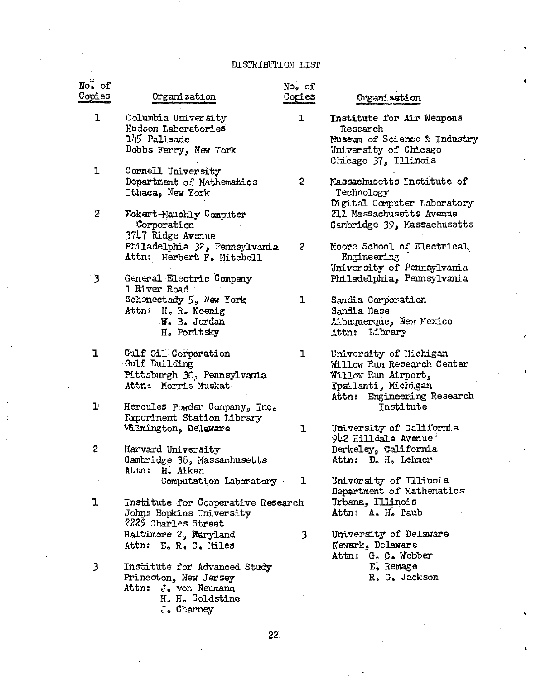# DISTRIBUTION LIST

 $\hat{\mathbf{t}}$ 

 $\pmb{\lambda}$ 

| $\overline{\text{No}}^*_{\bullet}$ of<br>Copies | Organization                                                                                                   | No. of<br>Copies | Organization                                                                                                                     |
|-------------------------------------------------|----------------------------------------------------------------------------------------------------------------|------------------|----------------------------------------------------------------------------------------------------------------------------------|
| ı                                               | Columbia University<br>Hudson Laboratories<br>145 Palisade<br>Dobbs Ferry, New York                            | ı                | Institute for Air Weapons<br>Research<br>Museum of Science & Industry<br>University of Chicago<br>Chicago 37, Illinois           |
| $1^+$                                           | Cornell University<br>Department of Mathematics<br>Ithaca, New York                                            | $\mathbf{2}$     | Massachusetts Institute of<br>Technology<br>Digital Computer Laboratory                                                          |
| $\overline{2}$                                  | Eckert-Mauchly Computer<br>Corporation<br>3747 Ridge Avenue                                                    |                  | 211 Massachusetts Avenue<br>Cambridge 39, Massachusetts                                                                          |
| $\overline{\mathbf{3}}$                         | Philadelphia 32, Pennsylvania<br>Attn: Herbert F. Mitchell<br>General Electric Company<br>1 River Road         | $\mathbf{2}$     | Moore School of Electrical<br>Engineering<br>University of Pennsylvania<br>Philadelphia, Pennsylvania                            |
|                                                 | Schenectady 5, New York<br>Attn: H.R. Koenig<br>W. B. Jordan<br>H. Poritsky                                    | ı                | Sandia Corporation<br>Sandia Base<br>Albuquerque, New Mexico<br>Attn: Library                                                    |
| ı                                               | Gulf Oil Corporation<br>Gulf Building<br>Pittsburgh 30, Pennsylvania<br>Attn: Morris Muskat                    | ı                | University of Michigan<br>Willow Run Research Center<br>Willow Run Airport,<br>Ypsilanti, Michigan<br>Attn: Engineering Research |
| $\mathbf{1}^{\text{t}}$                         | Hercules Powder Company, Inc.<br>Experiment Station Library                                                    |                  | Institute                                                                                                                        |
|                                                 | Wilmington, Delaware                                                                                           | ı                | University of California<br>942 Hilldale Avenue                                                                                  |
| $\overline{c}$                                  | Harvard University<br>Cambridge 38, Massachusetts<br>Attn: H. Aiken                                            |                  | Berkeley, California<br>Attn: D. H. Lehmer                                                                                       |
|                                                 | Computation Laboratory                                                                                         | ı                | University of Illinois<br>Department of Mathematics                                                                              |
| ı                                               | Institute for Cooperative Research<br>Johns Hopkins University<br>2229 Charles Street                          |                  | Urbana, Illinois<br>Attn: A. H. Taub                                                                                             |
|                                                 | Baltimore 2, Maryland<br>Attn: E. R. C. Miles                                                                  | 3                | University of Delaware<br>Newark, Delaware<br>Attn: G. C. Webber                                                                 |
| 3                                               | Institute for Advanced Study<br>Princeton, New Jersey<br>Attn: J. von Neumann<br>H. H. Goldstine<br>J. Charney |                  | E. Remage<br>R. G. Jackson                                                                                                       |